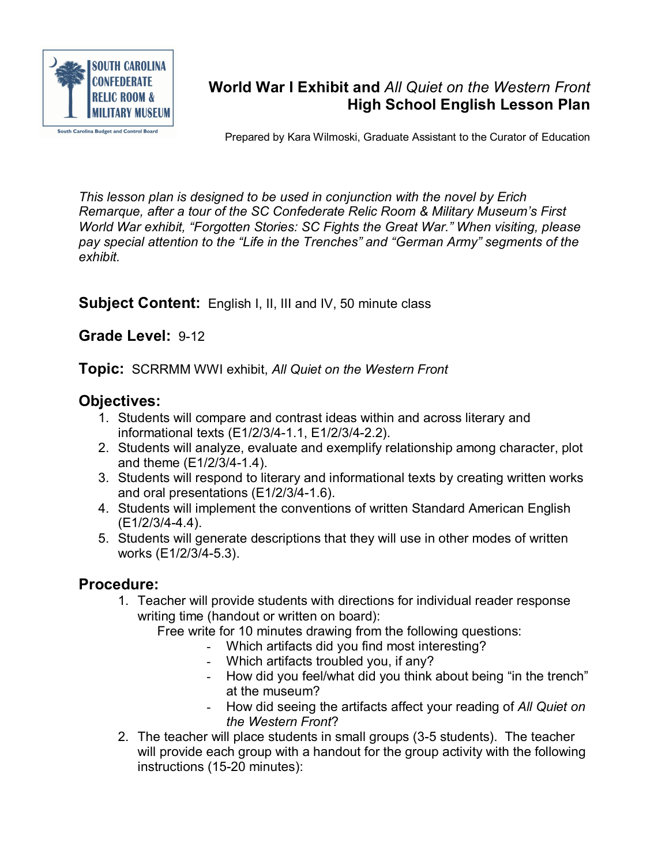

## **World War I Exhibit and** *All Quiet on the Western Front* **High School English Lesson Plan**

Prepared by Kara Wilmoski, Graduate Assistant to the Curator of Education

*This lesson plan is designed to be used in conjunction with the novel by Erich Remarque, after a tour of the SC Confederate Relic Room & Military Museum's First World War exhibit, "Forgotten Stories: SC Fights the Great War." When visiting, please pay special attention to the "Life in the Trenches" and "German Army" segments of the exhibit.*

**Subject Content:** English I, II, III and IV, 50 minute class

## **Grade Level: 9-12**

**Topic:** SCRRMM WWI exhibit, *All Quiet on the Western Front*

## **Objectives:**

- 1. Students will compare and contrast ideas within and across literary and informational texts (E1/2/3/4-1.1, E1/2/3/4-2.2).
- 2. Students will analyze, evaluate and exemplify relationship among character, plot and theme  $(E1/2/3/4-1.4)$ .
- 3. Students will respond to literary and informational texts by creating written works and oral presentations  $(E1/2/3/4-1.6)$ .
- 4. Students will implement the conventions of written Standard American English  $(E1/2/3/4-4.4)$ .
- 5. Students will generate descriptions that they will use in other modes of written works (E1/2/3/4-5.3).

## **Procedure:**

- 1. Teacher will provide students with directions for individual reader response writing time (handout or written on board):
	- Free write for 10 minutes drawing from the following questions:
		- Which artifacts did you find most interesting?
		- Which artifacts troubled you, if any?
		- How did you feel/what did you think about being "in the trench" at the museum?
		- How did seeing the artifacts affect your reading of *All Quiet on the Western Front*?
- 2. The teacher will place students in small groups (35 students). The teacher will provide each group with a handout for the group activity with the following instructions (15-20 minutes):